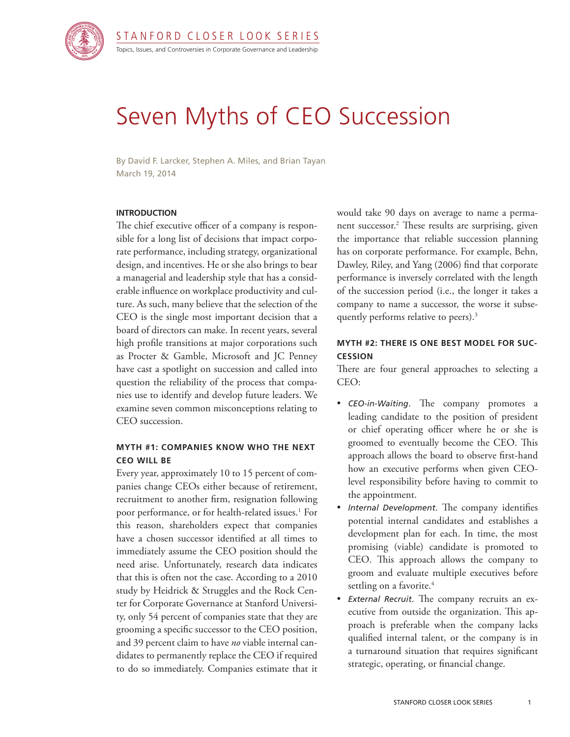

# Seven Myths of CEO Succession

By David F. Larcker, Stephen A. Miles, and Brian Tayan March 19, 2014

## **Introduction**

The chief executive officer of a company is responsible for a long list of decisions that impact corporate performance, including strategy, organizational design, and incentives. He or she also brings to bear a managerial and leadership style that has a considerable influence on workplace productivity and culture. As such, many believe that the selection of the CEO is the single most important decision that a board of directors can make. In recent years, several high profile transitions at major corporations such as Procter & Gamble, Microsoft and JC Penney have cast a spotlight on succession and called into question the reliability of the process that companies use to identify and develop future leaders. We examine seven common misconceptions relating to CEO succession.

## **Myth #1: Companies Know Who The Next CEO Will Be**

Every year, approximately 10 to 15 percent of companies change CEOs either because of retirement, recruitment to another firm, resignation following poor performance, or for health-related issues.<sup>1</sup> For this reason, shareholders expect that companies have a chosen successor identified at all times to immediately assume the CEO position should the need arise. Unfortunately, research data indicates that this is often not the case. According to a 2010 study by Heidrick & Struggles and the Rock Center for Corporate Governance at Stanford University, only 54 percent of companies state that they are grooming a specific successor to the CEO position, and 39 percent claim to have *no* viable internal candidates to permanently replace the CEO if required to do so immediately. Companies estimate that it

would take 90 days on average to name a permanent successor.2 These results are surprising, given the importance that reliable succession planning has on corporate performance. For example, Behn, Dawley, Riley, and Yang (2006) find that corporate performance is inversely correlated with the length of the succession period (i.e., the longer it takes a company to name a successor, the worse it subsequently performs relative to peers).3

## **Myth #2: There is One Best Model for Succession**

There are four general approaches to selecting a CEO:

- • *CEO-in-Waiting*. The company promotes a leading candidate to the position of president or chief operating officer where he or she is groomed to eventually become the CEO. This approach allows the board to observe first-hand how an executive performs when given CEOlevel responsibility before having to commit to the appointment.
- Internal Development. The company identifies potential internal candidates and establishes a development plan for each. In time, the most promising (viable) candidate is promoted to CEO. This approach allows the company to groom and evaluate multiple executives before settling on a favorite.<sup>4</sup>
- External Recruit. The company recruits an executive from outside the organization. This approach is preferable when the company lacks qualified internal talent, or the company is in a turnaround situation that requires significant strategic, operating, or financial change.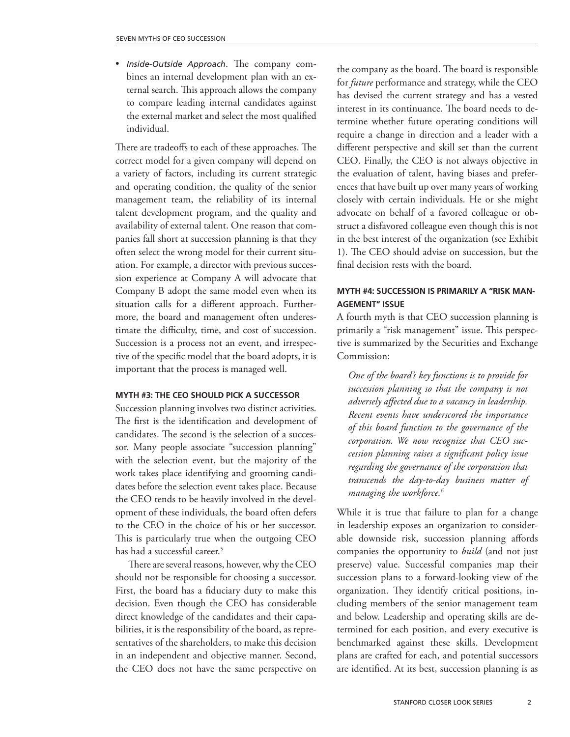• *Inside-Outside Approach*. The company combines an internal development plan with an external search. This approach allows the company to compare leading internal candidates against the external market and select the most qualified individual.

There are tradeoffs to each of these approaches. The correct model for a given company will depend on a variety of factors, including its current strategic and operating condition, the quality of the senior management team, the reliability of its internal talent development program, and the quality and availability of external talent. One reason that companies fall short at succession planning is that they often select the wrong model for their current situation. For example, a director with previous succession experience at Company A will advocate that Company B adopt the same model even when its situation calls for a different approach. Furthermore, the board and management often underestimate the difficulty, time, and cost of succession. Succession is a process not an event, and irrespective of the specific model that the board adopts, it is important that the process is managed well.

#### **Myth #3: The CEO Should Pick A Successor**

Succession planning involves two distinct activities. The first is the identification and development of candidates. The second is the selection of a successor. Many people associate "succession planning" with the selection event, but the majority of the work takes place identifying and grooming candidates before the selection event takes place. Because the CEO tends to be heavily involved in the development of these individuals, the board often defers to the CEO in the choice of his or her successor. This is particularly true when the outgoing CEO has had a successful career.<sup>5</sup>

There are several reasons, however, why the CEO should not be responsible for choosing a successor. First, the board has a fiduciary duty to make this decision. Even though the CEO has considerable direct knowledge of the candidates and their capabilities, it is the responsibility of the board, as representatives of the shareholders, to make this decision in an independent and objective manner. Second, the CEO does not have the same perspective on

the company as the board. The board is responsible for *future* performance and strategy, while the CEO has devised the current strategy and has a vested interest in its continuance. The board needs to determine whether future operating conditions will require a change in direction and a leader with a different perspective and skill set than the current CEO. Finally, the CEO is not always objective in the evaluation of talent, having biases and preferences that have built up over many years of working closely with certain individuals. He or she might advocate on behalf of a favored colleague or obstruct a disfavored colleague even though this is not in the best interest of the organization (see Exhibit 1). The CEO should advise on succession, but the final decision rests with the board.

## **Myth #4: Succession is Primarily a "Risk Management" Issue**

A fourth myth is that CEO succession planning is primarily a "risk management" issue. This perspective is summarized by the Securities and Exchange Commission:

*One of the board's key functions is to provide for succession planning so that the company is not adversely affected due to a vacancy in leadership. Recent events have underscored the importance of this board function to the governance of the corporation. We now recognize that CEO succession planning raises a significant policy issue regarding the governance of the corporation that transcends the day-to-day business matter of managing the workforce.6*

While it is true that failure to plan for a change in leadership exposes an organization to considerable downside risk, succession planning affords companies the opportunity to *build* (and not just preserve) value. Successful companies map their succession plans to a forward-looking view of the organization. They identify critical positions, including members of the senior management team and below. Leadership and operating skills are determined for each position, and every executive is benchmarked against these skills. Development plans are crafted for each, and potential successors are identified. At its best, succession planning is as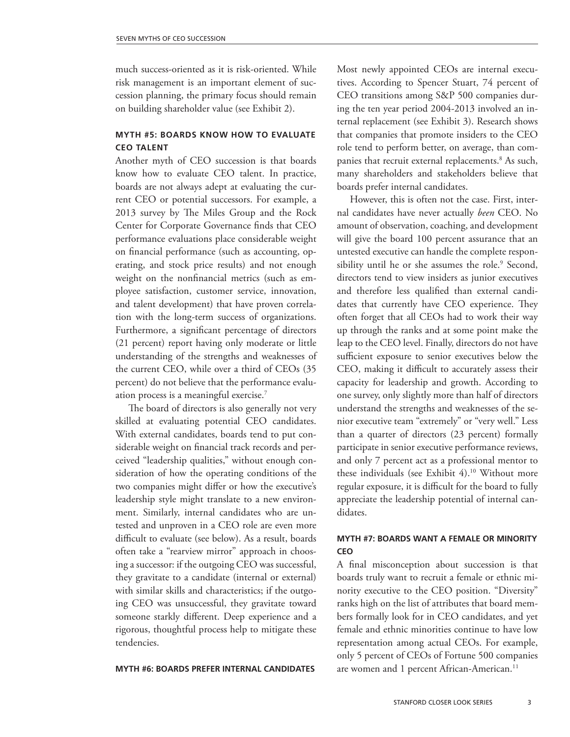much success-oriented as it is risk-oriented. While risk management is an important element of succession planning, the primary focus should remain on building shareholder value (see Exhibit 2).

## **Myth #5: Boards Know How to Evaluate CEO Talent**

Another myth of CEO succession is that boards know how to evaluate CEO talent. In practice, boards are not always adept at evaluating the current CEO or potential successors. For example, a 2013 survey by The Miles Group and the Rock Center for Corporate Governance finds that CEO performance evaluations place considerable weight on financial performance (such as accounting, operating, and stock price results) and not enough weight on the nonfinancial metrics (such as employee satisfaction, customer service, innovation, and talent development) that have proven correlation with the long-term success of organizations. Furthermore, a significant percentage of directors (21 percent) report having only moderate or little understanding of the strengths and weaknesses of the current CEO, while over a third of CEOs (35 percent) do not believe that the performance evaluation process is a meaningful exercise.7

The board of directors is also generally not very skilled at evaluating potential CEO candidates. With external candidates, boards tend to put considerable weight on financial track records and perceived "leadership qualities," without enough consideration of how the operating conditions of the two companies might differ or how the executive's leadership style might translate to a new environment. Similarly, internal candidates who are untested and unproven in a CEO role are even more difficult to evaluate (see below). As a result, boards often take a "rearview mirror" approach in choosing a successor: if the outgoing CEO was successful, they gravitate to a candidate (internal or external) with similar skills and characteristics; if the outgoing CEO was unsuccessful, they gravitate toward someone starkly different. Deep experience and a rigorous, thoughtful process help to mitigate these tendencies.

#### **Myth #6: Boards Prefer Internal Candidates**

Most newly appointed CEOs are internal executives. According to Spencer Stuart, 74 percent of CEO transitions among S&P 500 companies during the ten year period 2004-2013 involved an internal replacement (see Exhibit 3). Research shows that companies that promote insiders to the CEO role tend to perform better, on average, than companies that recruit external replacements.<sup>8</sup> As such, many shareholders and stakeholders believe that boards prefer internal candidates.

However, this is often not the case. First, internal candidates have never actually *been* CEO. No amount of observation, coaching, and development will give the board 100 percent assurance that an untested executive can handle the complete responsibility until he or she assumes the role.<sup>9</sup> Second, directors tend to view insiders as junior executives and therefore less qualified than external candidates that currently have CEO experience. They often forget that all CEOs had to work their way up through the ranks and at some point make the leap to the CEO level. Finally, directors do not have sufficient exposure to senior executives below the CEO, making it difficult to accurately assess their capacity for leadership and growth. According to one survey, only slightly more than half of directors understand the strengths and weaknesses of the senior executive team "extremely" or "very well." Less than a quarter of directors (23 percent) formally participate in senior executive performance reviews, and only 7 percent act as a professional mentor to these individuals (see Exhibit 4).<sup>10</sup> Without more regular exposure, it is difficult for the board to fully appreciate the leadership potential of internal candidates.

## **Myth #7: Boards Want a Female or Minority CEO**

A final misconception about succession is that boards truly want to recruit a female or ethnic minority executive to the CEO position. "Diversity" ranks high on the list of attributes that board members formally look for in CEO candidates, and yet female and ethnic minorities continue to have low representation among actual CEOs. For example, only 5 percent of CEOs of Fortune 500 companies are women and 1 percent African-American.<sup>11</sup>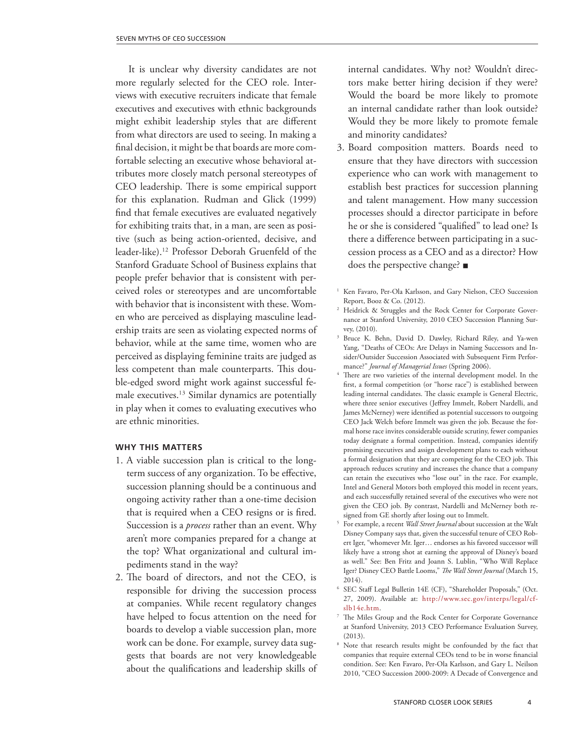It is unclear why diversity candidates are not more regularly selected for the CEO role. Interviews with executive recruiters indicate that female executives and executives with ethnic backgrounds might exhibit leadership styles that are different from what directors are used to seeing. In making a final decision, it might be that boards are more comfortable selecting an executive whose behavioral attributes more closely match personal stereotypes of CEO leadership. There is some empirical support for this explanation. Rudman and Glick (1999) find that female executives are evaluated negatively for exhibiting traits that, in a man, are seen as positive (such as being action-oriented, decisive, and leader-like).12 Professor Deborah Gruenfeld of the Stanford Graduate School of Business explains that people prefer behavior that is consistent with perceived roles or stereotypes and are uncomfortable with behavior that is inconsistent with these. Women who are perceived as displaying masculine leadership traits are seen as violating expected norms of behavior, while at the same time, women who are perceived as displaying feminine traits are judged as less competent than male counterparts. This double-edged sword might work against successful female executives.<sup>13</sup> Similar dynamics are potentially in play when it comes to evaluating executives who are ethnic minorities.

#### **Why This Matters**

- 1. A viable succession plan is critical to the longterm success of any organization. To be effective, succession planning should be a continuous and ongoing activity rather than a one-time decision that is required when a CEO resigns or is fired. Succession is a *process* rather than an event. Why aren't more companies prepared for a change at the top? What organizational and cultural impediments stand in the way?
- 2. The board of directors, and not the CEO, is responsible for driving the succession process at companies. While recent regulatory changes have helped to focus attention on the need for boards to develop a viable succession plan, more work can be done. For example, survey data suggests that boards are not very knowledgeable about the qualifications and leadership skills of

internal candidates. Why not? Wouldn't directors make better hiring decision if they were? Would the board be more likely to promote an internal candidate rather than look outside? Would they be more likely to promote female and minority candidates?

- 3. Board composition matters. Boards need to ensure that they have directors with succession experience who can work with management to establish best practices for succession planning and talent management. How many succession processes should a director participate in before he or she is considered "qualified" to lead one? Is there a difference between participating in a succession process as a CEO and as a director? How does the perspective change?
- <sup>1</sup> Ken Favaro, Per-Ola Karlsson, and Gary Nielson, CEO Succession Report, Booz & Co. (2012).
- <sup>2</sup> Heidrick & Struggles and the Rock Center for Corporate Governance at Stanford University, 2010 CEO Succession Planning Survey, (2010).
- <sup>3</sup> Bruce K. Behn, David D. Dawley, Richard Riley, and Ya-wen Yang, "Deaths of CEOs: Are Delays in Naming Successors and Insider/Outsider Succession Associated with Subsequent Firm Performance?" *Journal of Managerial Issues* (Spring 2006).
- <sup>4</sup> There are two varieties of the internal development model. In the first, a formal competition (or "horse race") is established between leading internal candidates. The classic example is General Electric, where three senior executives (Jeffrey Immelt, Robert Nardelli, and James McNerney) were identified as potential successors to outgoing CEO Jack Welch before Immelt was given the job. Because the formal horse race invites considerable outside scrutiny, fewer companies today designate a formal competition. Instead, companies identify promising executives and assign development plans to each without a formal designation that they are competing for the CEO job. This approach reduces scrutiny and increases the chance that a company can retain the executives who "lose out" in the race. For example, Intel and General Motors both employed this model in recent years, and each successfully retained several of the executives who were not given the CEO job. By contrast, Nardelli and McNerney both resigned from GE shortly after losing out to Immelt.
- <sup>5</sup> For example, a recent *Wall Street Journal* about succession at the Walt Disney Company says that, given the successful tenure of CEO Robert Iger, "whomever Mr. Iger… endorses as his favored successor will likely have a strong shot at earning the approval of Disney's board as well." See: Ben Fritz and Joann S. Lublin, "Who Will Replace Iger? Disney CEO Battle Looms," *The Wall Street Journal* (March 15, 2014).
- <sup>6</sup> SEC Staff Legal Bulletin 14E (CF), "Shareholder Proposals," (Oct. 27, 2009). Available at: [http://www.sec.gov/interps/legal/cf](http://www.sec.gov/interps/legal/cfslb14e.htm)[slb14e.htm.](http://www.sec.gov/interps/legal/cfslb14e.htm)
- <sup>7</sup> The Miles Group and the Rock Center for Corporate Governance at Stanford University, 2013 CEO Performance Evaluation Survey, (2013).
- <sup>8</sup> Note that research results might be confounded by the fact that companies that require external CEOs tend to be in worse financial condition. See: Ken Favaro, Per-Ola Karlsson, and Gary L. Neilson 2010, "CEO Succession 2000-2009: A Decade of Convergence and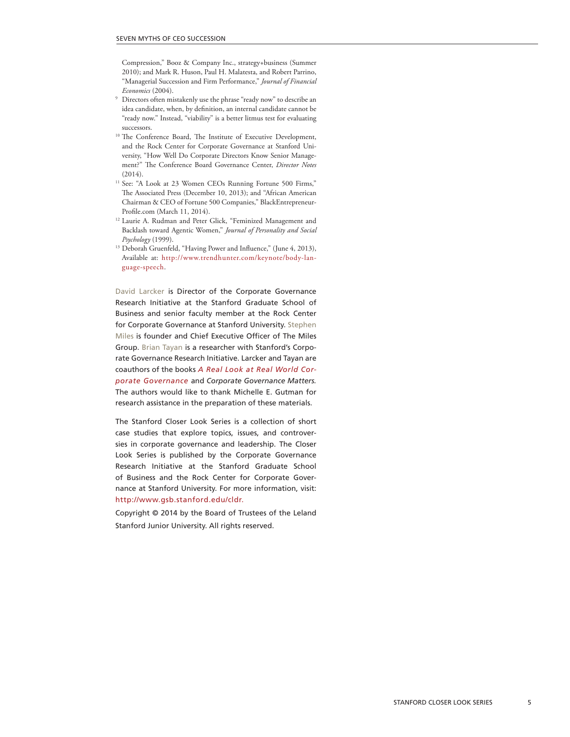Compression," Booz & Company Inc., strategy+business (Summer 2010); and Mark R. Huson, Paul H. Malatesta, and Robert Parrino, "Managerial Succession and Firm Performance," *Journal of Financial Economics* (2004).

- <sup>9</sup> Directors often mistakenly use the phrase "ready now" to describe an idea candidate, when, by definition, an internal candidate cannot be "ready now." Instead, "viability" is a better litmus test for evaluating successors.
- <sup>10</sup> The Conference Board, The Institute of Executive Development, and the Rock Center for Corporate Governance at Stanford University, "How Well Do Corporate Directors Know Senior Management?" The Conference Board Governance Center, *Director Notes*  (2014).
- <sup>11</sup> See: "A Look at 23 Women CEOs Running Fortune 500 Firms," The Associated Press (December 10, 2013); and "African American Chairman & CEO of Fortune 500 Companies," BlackEntrepreneur-Profile.com (March 11, 2014).
- <sup>12</sup> Laurie A. Rudman and Peter Glick, "Feminized Management and Backlash toward Agentic Women," *Journal of Personality and Social Psychology* (1999).
- <sup>13</sup> Deborah Gruenfeld, "Having Power and Influence," (June 4, 2013), Available at: [http://www.trendhunter.com/keynote/body-lan](http://www.trendhunter.com/keynote/body-language-speech)[guage-speech](http://www.trendhunter.com/keynote/body-language-speech).

David Larcker is Director of the Corporate Governance Research Initiative at the Stanford Graduate School of Business and senior faculty member at the Rock Center for Corporate Governance at Stanford University. Stephen Miles is founder and Chief Executive Officer of The Miles Group. Brian Tayan is a researcher with Stanford's Corporate Governance Research Initiative. Larcker and Tayan are coauthors of the books *[A Real Look at Real World Cor](http://www.amazon.com/Real-World-Corporate-Governance-ebook/dp/B00DXQ0EC2/)[porate Governance](http://www.amazon.com/Real-World-Corporate-Governance-ebook/dp/B00DXQ0EC2/)* and *Corporate Governance Matters.*  The authors would like to thank Michelle E. Gutman for research assistance in the preparation of these materials.

The Stanford Closer Look Series is a collection of short case studies that explore topics, issues, and controversies in corporate governance and leadership. The Closer Look Series is published by the Corporate Governance Research Initiative at the Stanford Graduate School of Business and the Rock Center for Corporate Governance at Stanford University. For more information, visit: http://www.gsb.stanford.edu/cldr.

Copyright © 2014 by the Board of Trustees of the Leland Stanford Junior University. All rights reserved.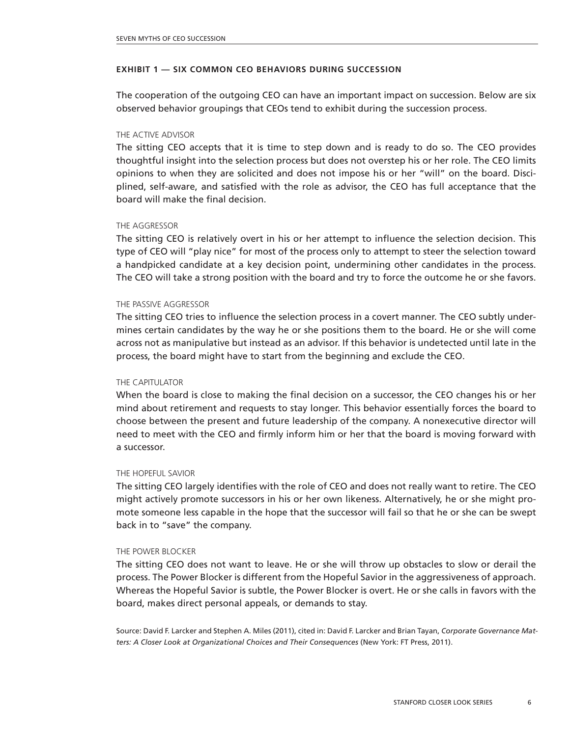#### **Exhibit 1 — Six common ceo behaviors during succession**

The cooperation of the outgoing CEO can have an important impact on succession. Below are six observed behavior groupings that CEOs tend to exhibit during the succession process.

#### The Active Advisor

The sitting CEO accepts that it is time to step down and is ready to do so. The CEO provides thoughtful insight into the selection process but does not overstep his or her role. The CEO limits opinions to when they are solicited and does not impose his or her "will" on the board. Disciplined, self-aware, and satisfied with the role as advisor, the CEO has full acceptance that the board will make the final decision.

#### The Aggressor

The sitting CEO is relatively overt in his or her attempt to influence the selection decision. This type of CEO will "play nice" for most of the process only to attempt to steer the selection toward a handpicked candidate at a key decision point, undermining other candidates in the process. The CEO will take a strong position with the board and try to force the outcome he or she favors.

#### The Passive Aggressor

The sitting CEO tries to influence the selection process in a covert manner. The CEO subtly undermines certain candidates by the way he or she positions them to the board. He or she will come across not as manipulative but instead as an advisor. If this behavior is undetected until late in the process, the board might have to start from the beginning and exclude the CEO.

#### The Capitulator

When the board is close to making the final decision on a successor, the CEO changes his or her mind about retirement and requests to stay longer. This behavior essentially forces the board to choose between the present and future leadership of the company. A nonexecutive director will need to meet with the CEO and firmly inform him or her that the board is moving forward with a successor.

#### The Hopeful Savior

The sitting CEO largely identifies with the role of CEO and does not really want to retire. The CEO might actively promote successors in his or her own likeness. Alternatively, he or she might promote someone less capable in the hope that the successor will fail so that he or she can be swept back in to "save" the company.

#### The Power Blocker

The sitting CEO does not want to leave. He or she will throw up obstacles to slow or derail the process. The Power Blocker is different from the Hopeful Savior in the aggressiveness of approach. Whereas the Hopeful Savior is subtle, the Power Blocker is overt. He or she calls in favors with the board, makes direct personal appeals, or demands to stay.

Source: David F. Larcker and Stephen A. Miles (2011), cited in: David F. Larcker and Brian Tayan, *Corporate Governance Matters: A Closer Look at Organizational Choices and Their Consequences* (New York: FT Press, 2011).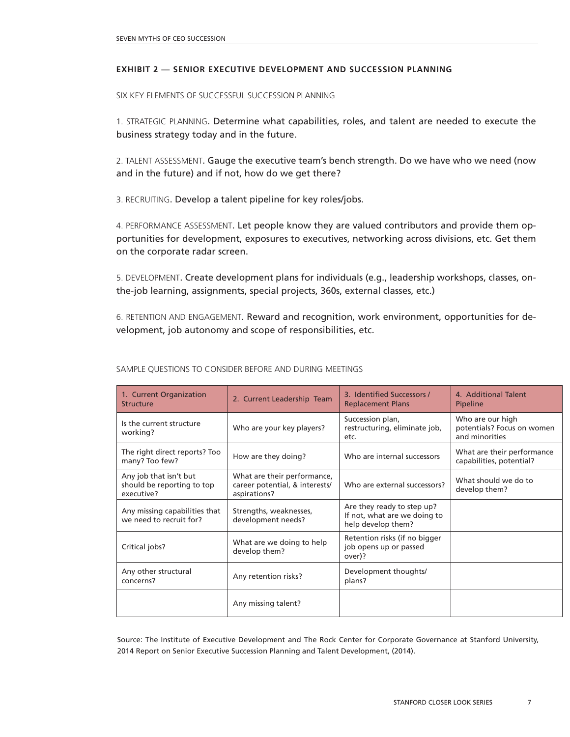## **Exhibit 2 — Senior Executive Development and Succession Planning**

Six Key Elements of Successful Succession Planning

1. Strategic Planning. Determine what capabilities, roles, and talent are needed to execute the business strategy today and in the future.

2. TALENT ASSESSMENT. Gauge the executive team's bench strength. Do we have who we need (now and in the future) and if not, how do we get there?

3. RECRUITING. Develop a talent pipeline for key roles/jobs.

4. Performance Assessment. Let people know they are valued contributors and provide them opportunities for development, exposures to executives, networking across divisions, etc. Get them on the corporate radar screen.

5. Development. Create development plans for individuals (e.g., leadership workshops, classes, onthe-job learning, assignments, special projects, 360s, external classes, etc.)

6. Retention and Engagement. Reward and recognition, work environment, opportunities for development, job autonomy and scope of responsibilities, etc.

| 1. Current Organization<br><b>Structure</b>                        | 2. Current Leadership Team                                                    | 3. Identified Successors /<br><b>Replacement Plans</b>                           | 4. Additional Talent<br>Pipeline                                 |
|--------------------------------------------------------------------|-------------------------------------------------------------------------------|----------------------------------------------------------------------------------|------------------------------------------------------------------|
| Is the current structure<br>working?                               | Who are your key players?                                                     | Succession plan,<br>restructuring, eliminate job,<br>etc.                        | Who are our high<br>potentials? Focus on women<br>and minorities |
| The right direct reports? Too<br>many? Too few?                    | How are they doing?                                                           | Who are internal successors                                                      | What are their performance<br>capabilities, potential?           |
| Any job that isn't but<br>should be reporting to top<br>executive? | What are their performance,<br>career potential, & interests/<br>aspirations? | Who are external successors?                                                     | What should we do to<br>develop them?                            |
| Any missing capabilities that<br>we need to recruit for?           | Strengths, weaknesses,<br>development needs?                                  | Are they ready to step up?<br>If not, what are we doing to<br>help develop them? |                                                                  |
| Critical jobs?                                                     | What are we doing to help<br>develop them?                                    | Retention risks (if no bigger<br>job opens up or passed<br>over)?                |                                                                  |
| Any other structural<br>concerns?                                  | Any retention risks?                                                          | Development thoughts/<br>plans?                                                  |                                                                  |
|                                                                    | Any missing talent?                                                           |                                                                                  |                                                                  |

## Sample Questions to Consider Before and During Meetings

Source: The Institute of Executive Development and The Rock Center for Corporate Governance at Stanford University, 2014 Report on Senior Executive Succession Planning and Talent Development, (2014).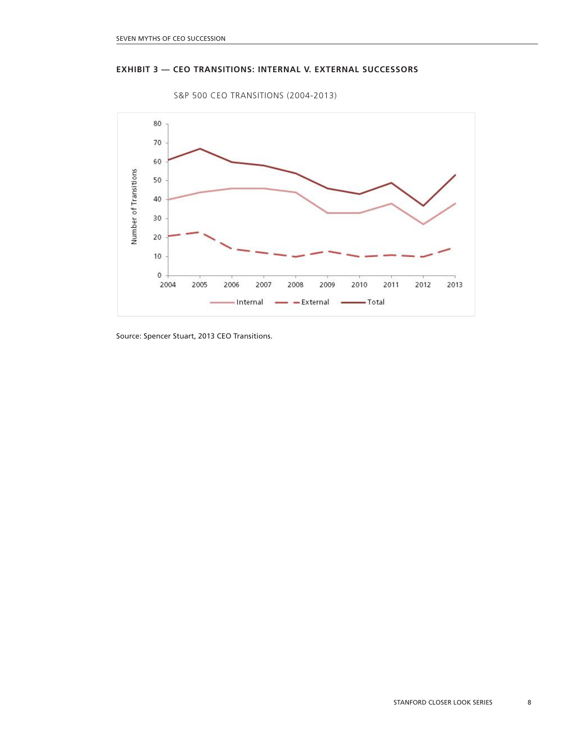### **Exhibit 3 — CEO Transitions: Internal v. External Successors**



S&P 500 CEO Transitions (2004-2013)

Source: Spencer Stuart, 2013 CEO Transitions.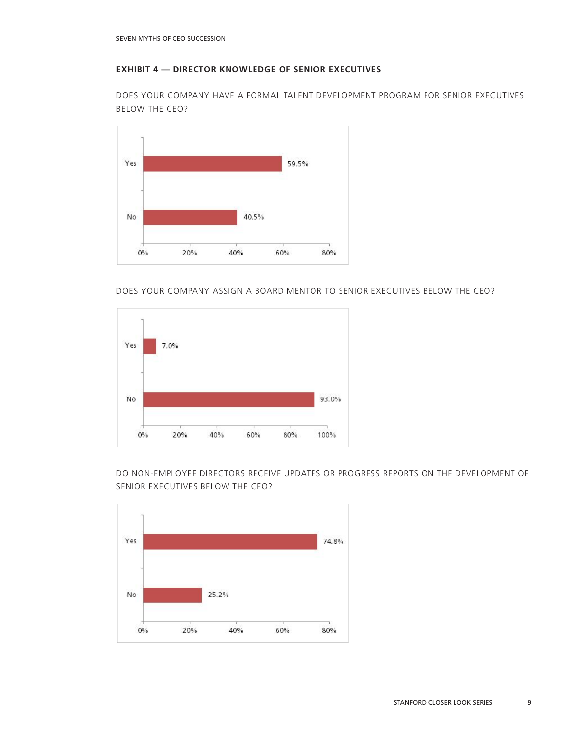## **Exhibit 4 — Director Knowledge of Senior Executives**

Does your company have a formal talent development program for senior executives below the CEO?



Does your company assign a board mentor to senior executives below the CEO?



Do non-employee directors receive updates or progress reports on the development of senior executives below the CEO?